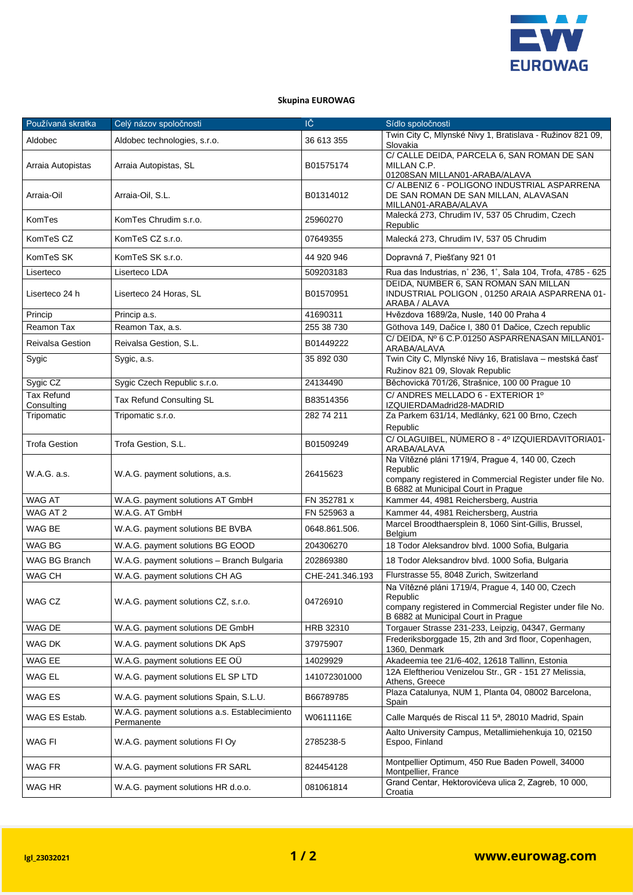

## **Skupina EUROWAG**

| Používaná skratka               | Celý názov spoločnosti                                      | IČ              | Sídlo spoločnosti                                                                                                                                               |
|---------------------------------|-------------------------------------------------------------|-----------------|-----------------------------------------------------------------------------------------------------------------------------------------------------------------|
| Aldobec                         | Aldobec technologies, s.r.o.                                | 36 613 355      | Twin City C, Mlynské Nivy 1, Bratislava - Ružinov 821 09,<br>Slovakia                                                                                           |
| Arraia Autopistas               | Arraia Autopistas, SL                                       | B01575174       | C/ CALLE DEIDA, PARCELA 6, SAN ROMAN DE SAN<br>MILLAN C.P.<br>01208SAN MILLAN01-ARABA/ALAVA                                                                     |
| Arraia-Oil                      | Arraia-Oil, S.L.                                            | B01314012       | C/ ALBENIZ 6 - POLIGONO INDUSTRIAL ASPARRENA<br>DE SAN ROMAN DE SAN MILLAN, ALAVASAN<br>MILLAN01-ARABA/ALAVA                                                    |
| KomTes                          | KomTes Chrudim s.r.o.                                       | 25960270        | Malecká 273, Chrudim IV, 537 05 Chrudim, Czech<br>Republic                                                                                                      |
| KomTeS CZ                       | KomTeS CZ s.r.o.                                            | 07649355        | Malecká 273, Chrudim IV, 537 05 Chrudim                                                                                                                         |
| KomTeS SK                       | KomTeS SK s.r.o.                                            | 44 920 946      | Dopravná 7, Piešťany 921 01                                                                                                                                     |
| Liserteco                       | Liserteco LDA                                               | 509203183       | Rua das Industrias, n° 236, 1°, Sala 104, Trofa, 4785 - 625                                                                                                     |
| Liserteco 24 h                  | Liserteco 24 Horas, SL                                      | B01570951       | DEIDA, NUMBER 6, SAN ROMAN SAN MILLAN<br>INDUSTRIAL POLIGON, 01250 ARAIA ASPARRENA 01-<br>ARABA / ALAVA                                                         |
| Princip                         | Princip a.s.                                                | 41690311        | Hvězdova 1689/2a, Nusle, 140 00 Praha 4                                                                                                                         |
| Reamon Tax                      | Reamon Tax, a.s.                                            | 255 38 730      | Göthova 149, Dačice I, 380 01 Dačice, Czech republic                                                                                                            |
| <b>Reivalsa Gestion</b>         | Reivalsa Gestion, S.L.                                      | B01449222       | C/DEIDA, Nº 6 C.P.01250 ASPARRENASAN MILLAN01-<br>ARABA/ALAVA                                                                                                   |
| Sygic                           | Sygic, a.s.                                                 | 35 892 030      | Twin City C, Mlynské Nivy 16, Bratislava – mestská časť<br>Ružinov 821 09, Slovak Republic                                                                      |
| Sygic CZ                        | Sygic Czech Republic s.r.o.                                 | 24134490        | Běchovická 701/26, Strašnice, 100 00 Prague 10                                                                                                                  |
| <b>Tax Refund</b><br>Consulting | Tax Refund Consulting SL                                    | B83514356       | C/ ANDRES MELLADO 6 - EXTERIOR 1º<br>IZQUIERDAMadrid28-MADRID                                                                                                   |
| Tripomatic                      | Tripomatic s.r.o.                                           | 282 74 211      | Za Parkem 631/14, Medlánky, 621 00 Brno, Czech<br>Republic                                                                                                      |
| <b>Trofa Gestion</b>            | Trofa Gestion, S.L.                                         | B01509249       | C/OLAGUIBEL, NÚMERO 8 - 4º IZQUIERDAVITORIA01-<br>ARABA/ALAVA                                                                                                   |
| W.A.G. a.s.                     | W.A.G. payment solutions, a.s.                              | 26415623        | Na Vítězné pláni 1719/4, Prague 4, 140 00, Czech<br>Republic<br>company registered in Commercial Register under file No.<br>B 6882 at Municipal Court in Prague |
| WAG AT                          | W.A.G. payment solutions AT GmbH                            | FN 352781 x     | Kammer 44, 4981 Reichersberg, Austria                                                                                                                           |
| WAG AT 2                        | W.A.G. AT GmbH                                              | FN 525963 a     | Kammer 44, 4981 Reichersberg, Austria                                                                                                                           |
| WAG BE                          | W.A.G. payment solutions BE BVBA                            | 0648.861.506.   | Marcel Broodthaersplein 8, 1060 Sint-Gillis, Brussel,<br>Belgium                                                                                                |
| WAG BG                          | W.A.G. payment solutions BG EOOD                            | 204306270       | 18 Todor Aleksandrov blvd. 1000 Sofia, Bulgaria                                                                                                                 |
| <b>WAG BG Branch</b>            | W.A.G. payment solutions - Branch Bulgaria                  | 202869380       | 18 Todor Aleksandrov blvd. 1000 Sofia, Bulgaria                                                                                                                 |
| WAG CH                          | W.A.G. payment solutions CH AG                              | CHE-241.346.193 | Flurstrasse 55, 8048 Zurich, Switzerland                                                                                                                        |
| WAG CZ                          | W.A.G. payment solutions CZ, s.r.o.                         | 04726910        | Na Vítězné pláni 1719/4, Prague 4, 140 00, Czech<br>Republic                                                                                                    |
|                                 |                                                             |                 | company registered in Commercial Register under file No.<br>B 6882 at Municipal Court in Praque                                                                 |
| WAG DE                          | W.A.G. payment solutions DE GmbH                            | HRB 32310       | Torgauer Strasse 231-233, Leipzig, 04347, Germany                                                                                                               |
| WAG DK                          | W.A.G. payment solutions DK ApS                             | 37975907        | Frederiksborggade 15, 2th and 3rd floor, Copenhagen,<br>1360, Denmark                                                                                           |
| WAG EE                          | W.A.G. payment solutions EE OU                              | 14029929        | Akadeemia tee 21/6-402, 12618 Tallinn, Estonia                                                                                                                  |
| WAG EL                          | W.A.G. payment solutions EL SP LTD                          | 141072301000    | 12A Eleftheriou Venizelou Str., GR - 151 27 Melissia,<br>Athens, Greece                                                                                         |
| WAG ES                          | W.A.G. payment solutions Spain, S.L.U.                      | B66789785       | Plaza Catalunya, NUM 1, Planta 04, 08002 Barcelona,<br>Spain                                                                                                    |
| WAG ES Estab.                   | W.A.G. payment solutions a.s. Establecimiento<br>Permanente | W0611116E       | Calle Marqués de Riscal 11 5 <sup>a</sup> , 28010 Madrid, Spain                                                                                                 |
| WAG FI                          | W.A.G. payment solutions FI Oy                              | 2785238-5       | Aalto University Campus, Metallimiehenkuja 10, 02150<br>Espoo, Finland                                                                                          |
| WAG FR                          | W.A.G. payment solutions FR SARL                            | 824454128       | Montpellier Optimum, 450 Rue Baden Powell, 34000<br>Montpellier, France                                                                                         |
| WAG HR                          | W.A.G. payment solutions HR d.o.o.                          | 081061814       | Grand Centar, Hektorovićeva ulica 2, Zagreb, 10 000,<br>Croatia                                                                                                 |